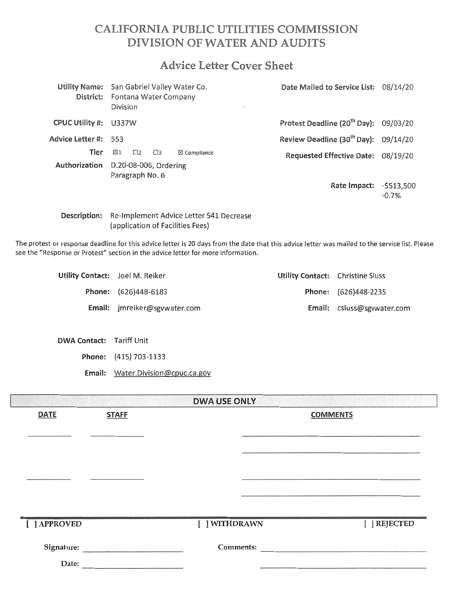# CALIFORNIA PUBLIC UTILITIES COMMISSION DIVISION OF WATER AND AUDITS

# **Advice Letter Cover Sheet**

| District:            | Utility Name: San Gabriel Valley Water Co.<br>Fontana Water Company<br>Division | $\mathbf{x}$           | Date Mailed to Service List: 08/14/20              |         |
|----------------------|---------------------------------------------------------------------------------|------------------------|----------------------------------------------------|---------|
| CPUC Utility #:      | U337W                                                                           |                        | Protest Deadline (20 <sup>th</sup> Day): 09/03/20  |         |
| Advice Letter #: 553 |                                                                                 |                        | Review Deadline (30 <sup>th</sup> Day): $09/14/20$ |         |
| Tier                 | ⊠1<br>$\square$<br>$\square$                                                    | $\boxtimes$ Compliance | Requested Effective Date: 08/19/20                 |         |
| Authorization        | D.20-08-006, Ordering<br>Paragraph No. 6                                        |                        |                                                    |         |
|                      |                                                                                 |                        | Rate Impact: - \$513,500                           | $-0.7%$ |

## Description: Re-Implement Advice Letter 541 Decrease (application of Facilities Fees)

The protest or response deadline for this advice letter is 20 days from the date that this advice letter was mailed to the service list. Please see the "Response or Protest" section in the advice letter for more information.

| Utility Contact: Joel M. Reiker |                                     | Utility Contact: Christine Sluss |                                   |
|---------------------------------|-------------------------------------|----------------------------------|-----------------------------------|
|                                 | <b>Phone:</b> (626)448-6183         |                                  | Phone: (626)448-2235              |
|                                 | <b>Email:</b> imreiker@sgywater.com |                                  | <b>Email:</b> csluss@sgvwater.com |

DWA Contact: Tariff Unit

Phone: (415) 703-1133

Email: Water.Division@cpuc.ca.gov

|              |              | <b>DWA USE ONLY</b> |                 |              |
|--------------|--------------|---------------------|-----------------|--------------|
| <b>DATE</b>  | <b>STAFF</b> |                     | <b>COMMENTS</b> |              |
|              |              |                     |                 |              |
|              |              |                     |                 |              |
|              |              |                     |                 |              |
|              |              |                     |                 |              |
|              |              |                     |                 |              |
|              |              |                     |                 |              |
| [ ] APPROVED |              | [ ] WITHDRAWN       |                 | [ ] REJECTED |
|              |              | Comments:           |                 |              |
| Date:        |              |                     | $\sim$          |              |
|              |              |                     |                 |              |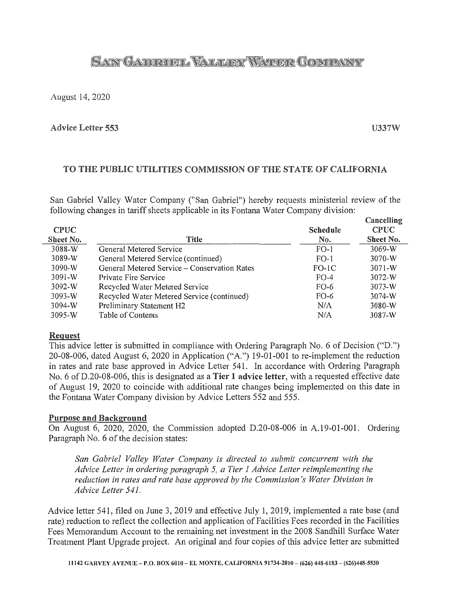# **SANT GATERIORIT, VALLARIX WATER GOMPANY**

August 14, 2020

### Advice Letter 553

**II337W** 

# TO THE PUBLIC UTILITIES COMMISSION OF THE STATE OF CALIFORNIA

San Gabriel Valley Water Company ("San Gabriel") hereby requests ministerial review of the following changes in tariff sheets applicable in its Fontana Water Company division:

| <b>CPUC</b> |                                              | <b>Schedule</b> | Cancelling<br><b>CPUC</b> |
|-------------|----------------------------------------------|-----------------|---------------------------|
| Sheet No.   | Title                                        | No.             | Sheet No.                 |
| 3088-W      | General Metered Service                      | $FO-1$          | $3069-W$                  |
| 3089-W      | General Metered Service (continued)          | $FO-1$          | $3070-W$                  |
| $3090-W$    | General Metered Service – Conservation Rates | $FO-1C$         | $3071 - W$                |
| $3091-W$    | Private Fire Service                         | $FO-4$          | 3072-W                    |
| $3092-W$    | Recycled Water Metered Service               | $FO-6$          | $3073-W$                  |
| $3093-W$    | Recycled Water Metered Service (continued)   | $FO-6$          | 3074-W                    |
| 3094-W      | Preliminary Statement H2                     | N/A             | $3080-W$                  |
| 3095-W      | Table of Contents                            | N/A             | 3087-W                    |
|             |                                              |                 |                           |

### Reguest

This advice letter is submitted in compliance with Ordering Paragraph No. 6 of Decision ("D.") 20-08-006, dated August 6, 2020 in Application ("A.") 19-01-001 to re-implement the reduction in rates and rate base approved in Advice Letter 541. In accordance with Ordering Paragraph No. 6 of D.20-08-006, this is designated as a Tier 1 advice letter, with a requested effective date of August 19, 2020 to coincide with additional rate changes being implemented on this date in the Fontana Water Company division by Advice Letters 552 and 555.

## Purpose and Background

On August 6, 2020, 2020, the Commission adopted D.20-08-006 in A.19-01-001. Ordering Paragraph No. 6 of the decision states:

*San Gabriel Valley Water Company is directed to submit concurrent with the Advice Letter in ordering paragraph 5, a Tier 1 Advice Letter reimplementing the reduction in rates and rate base approved by the Commission's Water Division in Advice Letter 541.* 

Advice letter 541, filed on June 3, 2019 and effective July 1, 2019, implemented a rate base (and rate) reduction to reflect the collection and application of Facilities Fees recorded in the Facilities Fees Memorandum Account to the remaining net investment in the 2008 Sandhill Surface Water Treatment Plant Upgrade project. An original and four copies of this advice letter are submitted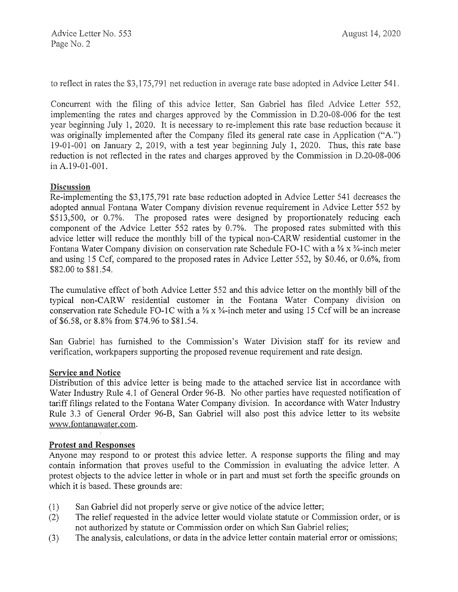to reflect in rates the  $$3,175,791$  net reduction in average rate base adopted in Advice Letter  $541$ .

Concurrent with the filing of this advice letter, San Gabriel has filed Advice Letter 552, implementing the rates and charges approved by the Commission in D.20-08-006 for the test year beginning July 1, 2020. It is necessary to re-implement this rate base reduction because it was originally implemented after the Company filed its general rate case in Application ("A.") 19-01-001 on January 2, 2019, with a test year beginning July 1, 2020. Thus, this rate base reduction is not reflected in the rates and charges approved by the Commission in D.20-08-006 in A.19-01-001.

# Discussion

Re-implementing the \$3,175,791 rate base reduction adopted in Advice Letter 541 decreases the adopted annual Fontana Water Company division revenue requirement in Advice Letter 552 by \$513,500, or 0.7%. The proposed rates were designed by proportionately reducing each component of the Advice Letter 552 rates by 0.7%. The proposed rates submitted with this advice letter will reduce the monthly bill of the typical non-CARW residential customer in the Fontana Water Company division on conservation rate Schedule FO-1C with a  $\frac{5}{8}$  x  $\frac{3}{4}$ -inch meter and using 15 Ccf, compared to the proposed rates in Advice Letter 552, by \$0.46, or 0.6%, from \$82.00 to \$81.54.

The cumulative effect of both Advice Letter 552 and this advice letter on the monthly bill of the typical non-CARW residential customer in the Fontana Water Company division on conservation rate Schedule FO-1C with a  $\frac{1}{2}$  x  $\frac{1}{4}$ -inch meter and using 15 Ccf will be an increase of \$6.58, or 8.8% from \$74.96 to \$81.54.

San Gabriel has furnished to the Commission's Water Division staff for its review and verification, workpapers supporting the proposed revenue requirement and rate design.

## Service and Notice

Distribution of this advice letter is being made to the attached service list in accordance with Water Industry Rule 4.1 of General Order 96-B. No other parties have requested notification of tariff filings related to the Fontana Water Company division. In accordance with Water Industry Rule 3.3 of General Order 96-B, San Gabriel will also post this advice letter to its website www.fontanawater.com.

## Protest and Responses

Anyone may respond to or protest this advice letter. A response supports the filing and may contain information that proves useful to the Commission in evaluating the advice letter. A protest objects to the advice letter in whole or in part and must set forth the specific grounds on which it is based. These grounds are:

- (1) San Gabriel did not properly serve or give notice of the advice letter;
- (2) The relief requested in the advice letter would violate statute or Commission order, or is not authorized by statute or Commission order on which San Gabriel relies;
- (3) The analysis, calculations, or data in the advice letter contain material error or omissions;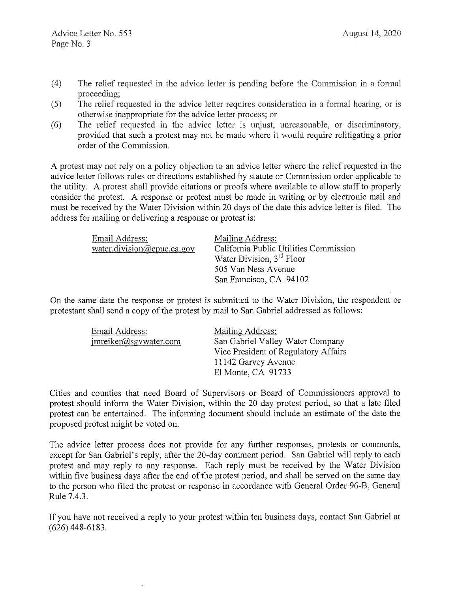- August 14, 2020
- $(4)$ The relief requested in the advice letter is pending before the Commission in a formal proceeding;
- $(5)$  The relief requested in the advice letter requires consideration in a formal hearing, or is otherwise inappropriate for the advice letter process; or
- (6) The relief requested in the advice letter is unjust, umeasonable, or discriminatory, provided that such a protest may not be made where it would require relitigating a prior order of the Commission.

A protest may not rely on a policy objection to an advice letter where the relief requested in the advice letter follows rules or directions established by statute or Commission order applicable to the utility. A protest shall provide citations or proofs where available to allow staff to properly consider the protest. A response or protest must be made in writing or by electronic mail and must be received by the Water Division within 20 days of the date this advice letter is filed. The address for mailing or delivering a response or protest is:

| Email Address:                                               | Mailing Address:                       |
|--------------------------------------------------------------|----------------------------------------|
| $water\text{.division}(\partial \text{.cpuc.}ca\text{.gov})$ | California Public Utilities Commission |
|                                                              | Water Division, 3 <sup>rd</sup> Floor  |
|                                                              | 505 Van Ness Avenue                    |
|                                                              | San Francisco, CA 94102                |

On the same date the response or protest is submitted to the Water Division, the respondent or protestant shall send a copy of the protest by mail to San Gabriel addressed as follows:

| Email Address:        | Mailing Address:                     |
|-----------------------|--------------------------------------|
| imreiker@sgvwater.com | San Gabriel Valley Water Company     |
|                       | Vice President of Regulatory Affairs |
|                       | 11142 Garvey Avenue                  |
|                       | El Monte, CA 91733                   |
|                       |                                      |

Cities and counties that need Board of Supervisors or Board of Commissioners approval to protest should inform the Water Division, within the 20 day protest period, so that a late filed protest can be entertained. The informing document should include an estimate of the date the proposed protest might be voted on.

The advice letter process does not provide for any further responses, protests or comments, except for San Gabriel's reply, after the 20-day comment period. San Gabriel will reply to each protest and may reply to any response. Each reply must be received by the Water Division within five business days after the end of the protest period, and shall be served on the same day to the person who filed the protest or response in accordance with General Order 96-B, General Rule 7.4.3.

If you have not received a reply to your protest within ten business days, contact San Gabriel at (626) 448-6183.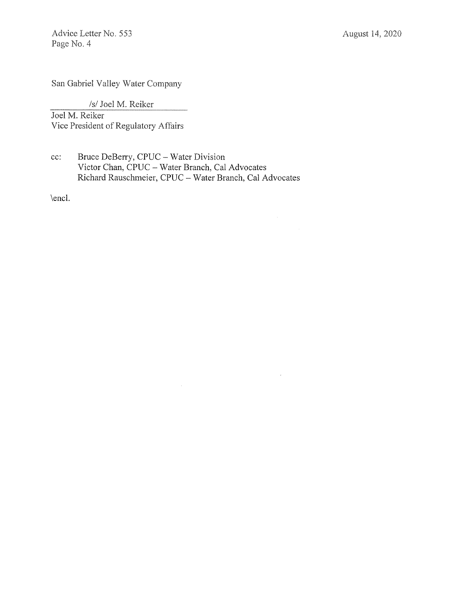Advice Letter No. 553 Page No. 4

San Gabriel Valley Water Company

*Isl* Joel M. Reiker

Joel M. Reiker Vice President of Regulatory Affairs

cc: Bruce DeBerry, CPUC- Water Division Victor Chan, CPUC- Water Branch, Cal Advocates Richard Rauschmeier, CPUC- Water Branch, Cal Advocates

 $\bar{z}$ 

\encl.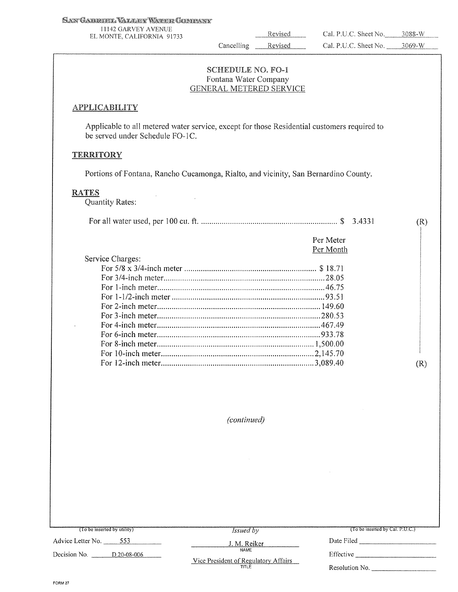I ll42 GARVEY AVENUE EL MONTE, CALIFORNIA 91733 Revised Cal. P.U.C. Sheet No. 3088-W

Cancelling Revised

Per Meter

(R)

SCHEDULE NO. F0-1 Fontana Water Company GENERAL METERED SERVICE

### **APPLICABILITY**

Applicable to all metered water service, except for those Residential customers required to be served under Schedule FO-lC.

### **TERRITORY**

Portions of Fontana, Rancho Cucamonga, Rialto, and vicinity, San Bernardino County.

 $\mathcal{A}$ 

### RATES

Quantity Rates:

|  |  |  | 3.4331 |  |  |
|--|--|--|--------|--|--|
|--|--|--|--------|--|--|

|                  | per ivieler |
|------------------|-------------|
|                  | Per Month   |
| Service Charges: |             |
|                  |             |
|                  |             |
|                  |             |
|                  |             |
|                  |             |
|                  |             |
|                  |             |
|                  |             |
|                  |             |
|                  |             |
|                  |             |
|                  |             |

*(continued)* 

Advice Letter No. \_ \_\_\_,5'""5'""3 \_\_\_ \_ *Issued by Issued by* (To be inserted by Cal. P.U.C.)<br>
J. M. Reiker Date Filed Decision No. <u>D.20-08-006</u> NAME Vice President of Regulatory Affairs TITLE Effective--------- Resolution No. \_\_\_\_\_\_\_\_\_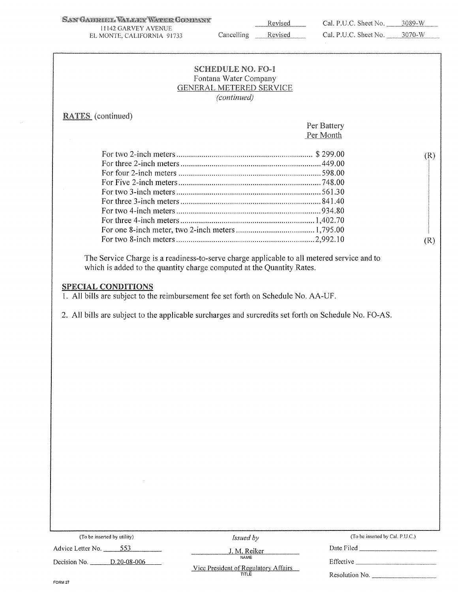SAN GABRIEL VALLER WATER GOMMANY

l l !42 GARVEY AVENUE EL MONTE. CALIFORNIA 91733 Revised

|                                                                                                                                                                                                                          | <b>SCHEDULE NO. FO-1</b>  |                                 |     |
|--------------------------------------------------------------------------------------------------------------------------------------------------------------------------------------------------------------------------|---------------------------|---------------------------------|-----|
|                                                                                                                                                                                                                          | Fontana Water Company     |                                 |     |
|                                                                                                                                                                                                                          | GENERAL METERED SERVICE   |                                 |     |
|                                                                                                                                                                                                                          | (continued)               |                                 |     |
| <b>RATES</b> (continued)                                                                                                                                                                                                 |                           |                                 |     |
|                                                                                                                                                                                                                          |                           | Per Battery                     |     |
|                                                                                                                                                                                                                          |                           | Per Month                       |     |
|                                                                                                                                                                                                                          |                           |                                 | (R) |
|                                                                                                                                                                                                                          |                           |                                 |     |
|                                                                                                                                                                                                                          |                           |                                 |     |
|                                                                                                                                                                                                                          |                           |                                 |     |
|                                                                                                                                                                                                                          |                           |                                 |     |
|                                                                                                                                                                                                                          |                           |                                 |     |
|                                                                                                                                                                                                                          |                           |                                 |     |
|                                                                                                                                                                                                                          |                           |                                 |     |
|                                                                                                                                                                                                                          |                           |                                 |     |
|                                                                                                                                                                                                                          |                           |                                 | (R) |
| which is added to the quantity charge computed at the Quantity Rates.                                                                                                                                                    |                           |                                 |     |
|                                                                                                                                                                                                                          |                           |                                 |     |
| <b>SPECIAL CONDITIONS</b><br>1. All bills are subject to the reimbursement fee set forth on Schedule No. AA-UF.<br>2. All bills are subject to the applicable surcharges and surcredits set forth on Schedule No. FO-AS. |                           |                                 |     |
|                                                                                                                                                                                                                          |                           |                                 |     |
|                                                                                                                                                                                                                          |                           |                                 |     |
|                                                                                                                                                                                                                          |                           |                                 |     |
|                                                                                                                                                                                                                          |                           |                                 |     |
|                                                                                                                                                                                                                          |                           |                                 |     |
|                                                                                                                                                                                                                          |                           |                                 |     |
|                                                                                                                                                                                                                          |                           |                                 |     |
|                                                                                                                                                                                                                          |                           |                                 |     |
|                                                                                                                                                                                                                          |                           |                                 |     |
|                                                                                                                                                                                                                          |                           |                                 |     |
|                                                                                                                                                                                                                          |                           |                                 |     |
|                                                                                                                                                                                                                          |                           |                                 |     |
|                                                                                                                                                                                                                          |                           |                                 |     |
|                                                                                                                                                                                                                          |                           |                                 |     |
|                                                                                                                                                                                                                          |                           |                                 |     |
|                                                                                                                                                                                                                          |                           |                                 |     |
|                                                                                                                                                                                                                          |                           |                                 |     |
|                                                                                                                                                                                                                          |                           |                                 |     |
| (To be inserted by utility)<br>Advice Letter No. _____553                                                                                                                                                                | Issued by<br>J. M. Reiker | (To be inserted by Cal. P.U.C.) |     |

Vice President of Regulatory Affairs<br>TITLE

Decision No. <u>D.20-08-006</u>

Resolution No. \_\_

Effective \_

FORM27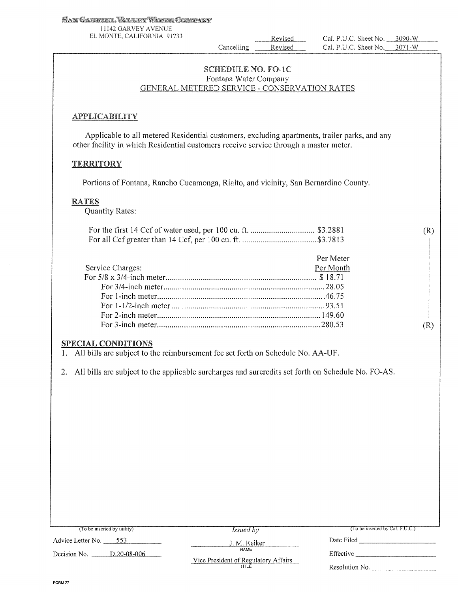11142 GARVEY AVENUE EL MONTE. CALIFORNIA 91733

Revised Cancelling Revised Cal. P.U.C. Sheet No. 3090-W Cal. P.U.C. Sheet No.  $3071 - W$ 

(R)

(R)

### SCHEDULE NO. FO-lC Fontana Water Company GENERAL METERED SERVICE - CONSERVATION RATES

### **APPLICABILITY**

Applicable to all metered Residential customers, excluding apartments, trailer parks, and any other facility in which Residential customers receive service through a master meter.

### **TERRITORY**

Portions of Fontana, Rancho Cucamonga, Rialto, and vicinity, San Bernardino County.

### RATES

Quantity Rates:

|                  | Per Meter |
|------------------|-----------|
| Service Charges: | Per Month |
|                  |           |
|                  |           |
|                  |           |
|                  |           |
|                  |           |
|                  |           |

## SPECIAL CONDITIONS

I. All bills are subject to the reimbursement fee set forth on Schedule No. AA-UF.

2. All bills are subject to the applicable surcharges and surcredits set forth on Schedule No. FO-AS.

| (To be inserted by utility) | <i>Issued</i> by                             | $($ I o be inserted by Cal, P.U.C. $)$ |
|-----------------------------|----------------------------------------------|----------------------------------------|
| Advice Letter No.<br>-553   | J. M. Reiker                                 | Date Filed                             |
| Decision No.<br>D.20-08-006 | NAME<br>Vice President of Regulatory Affairs | Effective                              |
|                             | TITLE                                        | Resolution No.                         |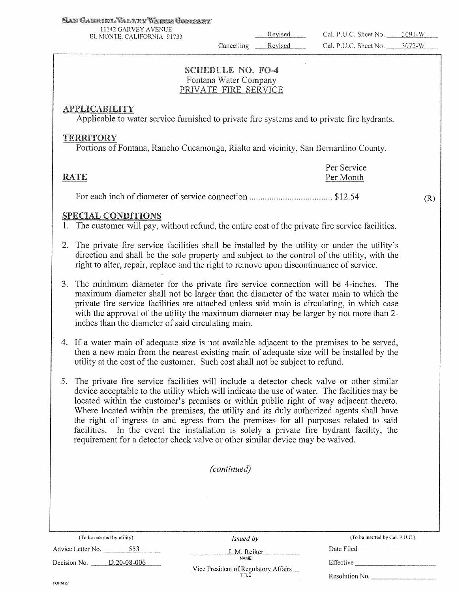l l 142 GARVEY AVENUE EL MONTE. CALIFORNIA 91733

Revised Cancelling Revised

(R)

# **SCHEDULE NO. FO-4** Fontana Water Company

# **APPLICABILITY**

Applicable to water service furnished to private fire systems and to private fire hydrants.

# **TERRITORY**

Portions of Fontana, Rancho Cucamonga, Rialto and vicinity, San Bernardino County.

| RATE | Per Service<br>Per Month |
|------|--------------------------|
|      |                          |

# SPECIAL CONDITIONS

1. The customer will pay, without refund, the entire cost of the private fire service facilities.

- 2. The private fire service facilities shall be installed by the utility or under the utility's direction and shall be the sole property and subject to the control of the utility, with the right to alter, repair, replace and the right to remove upon discontinuance of service.
- 3. The minimum diameter for the private fire service connection will be 4-inches. The maximum diameter shall not be larger than the diameter of the water main to which the private fire service facilities are attached unless said main is circulating, in which case with the approval of the utility the maximum diameter may be larger by not more than 2 inches than the diameter of said circulating main.
- 4. If a water main of adequate size is not available adjacent to the premises to be served, then a new main from the nearest existing main of adequate size will be installed by the utility at the cost of the customer. Such cost shall not be subject to refund.
- 5. The private fire service facilities will include a detector check valve or other similar device acceptable to the utility which will indicate the use of water. The facilities may be located within the customer's premises or within public right of way adjacent thereto. Where located within the premises, the utility and its duly authorized agents shall have the right of ingress to and egress from the premises for all purposes related to said facilities. In the event the installation is solely a private fire hydrant facility, the requirement for a detector check valve or other similar device may be waived.

*(continued)* 

(To be inserted by utility) Advice Letter No. 553

*Issued by*  J.M. Reiker (To be inse1tcd by Cal. P.U.C.) Date Filed \_\_\_\_\_\_ \_

| ---                                                   | l/ or<br>w                                                                  | $\sim$ with a street      |
|-------------------------------------------------------|-----------------------------------------------------------------------------|---------------------------|
| 006<br>Decision<br>ററ<br>$\cap$<br>NO.<br>.<br>------ | <b>NAME</b><br>$\sim$<br>.<br>: Attaire<br>-President of Requisiony<br>Vice | <b>2000 CM</b><br>tective |

Vice President of Regulatory Affairs Resolution No. \_\_\_\_\_\_\_\_\_\_\_\_\_\_\_\_\_\_\_\_\_\_\_\_\_\_\_\_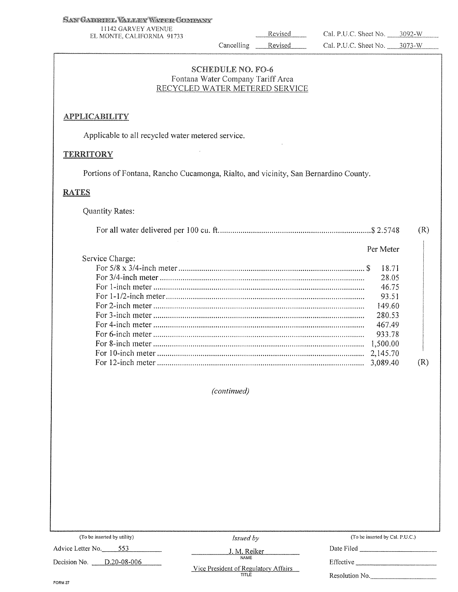l 1142 GARVEY AVENUE EL MONTE. CAUFORNlA 91733

Revised

Revised

# SCHEDULE NO. FO-6<br>Fontana Water Company Tariff Area RECYCLED WATER METERED SERVICE

Cancelling

### **APPLICABILITY**

Applicable to all recycled water metered service.

### **TERRITORY**

Portions of Fontana, Rancho Cucamonga, Rialto, and vicinity, San Bernardino County.

### **RATES**

Quantity Rates:

|                 |           | (R) |
|-----------------|-----------|-----|
|                 | Per Meter |     |
| Service Charge: |           |     |
|                 | 18.71     |     |
|                 | 28.05     |     |
|                 | 46.75     |     |
|                 | 93.51     |     |
|                 | 149.60    |     |
|                 | 280.53    |     |
|                 | 467.49    |     |
|                 | 933.78    |     |
|                 | 1,500.00  |     |
|                 | 2,145.70  |     |
|                 | 3,089.40  | (R) |
|                 |           |     |

*(continued)* 

| <i>Issued by</i> | (To be inserted by Cal. P.U.C.)      |
|------------------|--------------------------------------|
| J. M. Reiker     | Date Filed                           |
| <b>NAME</b>      | Effective                            |
| TITLE            | Resolution No.                       |
|                  | Vice President of Regulatory Affairs |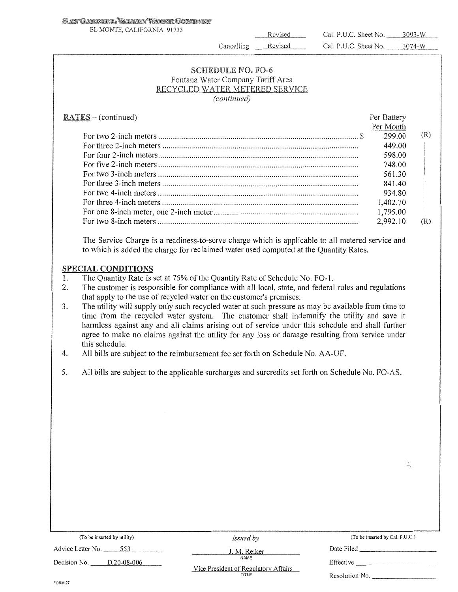### SAN GABRIEL VALLEY WATER GOMBANY

EL MONTE, CALIFORNIA 91733

Revised

Revised

Cal. P.U.C. Sheet No. \_\_\_\_\_\_ 3093-W Cal. P.U.C. Sheet No. 3074-W

# **SCHEDULE NO. FO-6**<br>Fontana Water Company Tariff Area RECYCLED WATER METERED SERVICE *(continued)*

Cancelling

| $RATES - (continued)$                                                                                                                                                                                                                                                                                                            | Per Battery |     |
|----------------------------------------------------------------------------------------------------------------------------------------------------------------------------------------------------------------------------------------------------------------------------------------------------------------------------------|-------------|-----|
|                                                                                                                                                                                                                                                                                                                                  | Per Month   |     |
|                                                                                                                                                                                                                                                                                                                                  | 299.00      | (R) |
| For three 2-inch meters $\ldots$ $\ldots$ $\ldots$ $\ldots$ $\ldots$ $\ldots$ $\ldots$ $\ldots$ $\ldots$ $\ldots$ $\ldots$ $\ldots$ $\ldots$ $\ldots$ $\ldots$ $\ldots$ $\ldots$ $\ldots$ $\ldots$ $\ldots$ $\ldots$ $\ldots$ $\ldots$ $\ldots$ $\ldots$ $\ldots$ $\ldots$ $\ldots$ $\ldots$ $\ldots$ $\ldots$ $\ldots$ $\ldots$ | 449.00      |     |
|                                                                                                                                                                                                                                                                                                                                  | 598.00      |     |
|                                                                                                                                                                                                                                                                                                                                  | 748.00      |     |
|                                                                                                                                                                                                                                                                                                                                  | 561.30      |     |
|                                                                                                                                                                                                                                                                                                                                  | 841.40      |     |
|                                                                                                                                                                                                                                                                                                                                  | 934.80      |     |
|                                                                                                                                                                                                                                                                                                                                  | 1,402.70    |     |
|                                                                                                                                                                                                                                                                                                                                  | 1,795.00    |     |
|                                                                                                                                                                                                                                                                                                                                  | 2.992.10    | (R) |

The Service Charge is a readiness-to-serve charge which is applicable to all metered service and to which is added the charge for reclaimed water used computed at the Quantity Rates.

### SPECIAL CONDITIONS

- I. The Quantity Rate is set at 75% of the Quantity Rate of Schedule No. F0-1.
- 2. The customer is responsible for compliance with all local, state, and federal rules and regulations that apply to the use of recycled water on the customer's premises.
- 3. The utility will supply only such recycled water at such pressure as may be available from time to time from the recycled water system. The customer shall indemnify the utility and save it harmless against any and all claims arising out of service under this schedule and shall further agree to make no claims against the utility for any loss or damage resulting from service under this schedule.
- 4. All bills are subject to the reimbursement fee set forth on Schedule No. AA-UF.
- 5. All bills are subject to the applicable surcharges and surcredits set forth on Schedule No. FO-AS.

| (To be inserted by utility) | <i>Issued by</i>                              | (To be inserted by Cal. P.U.C.) |
|-----------------------------|-----------------------------------------------|---------------------------------|
| Advice Letter No.<br>553    | J. M. Reiker                                  | Date Filed                      |
| D.20-08-006<br>Decision No. | NAME                                          | Effective                       |
|                             | Vice President of Regulatory Affairs<br>TITLE | Resolution No.                  |
| FORM 27                     |                                               |                                 |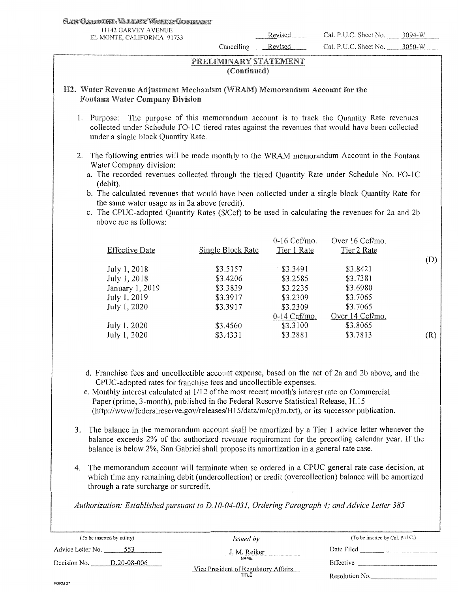#### SAN GABROOL VALLEY WARER CONDANY

11142 GARVEY AVENUE

Cancelling Revised

EL MONTE, CALIFORNIA 91733<br>
EL MONTE, CALIFORNIA 91733<br>
Cal. P.U.C. Sheet No. 3094-W Cal. P.U.C. Sheet No. 3080-W

### PRELIMINARY STATEMENT (Continued)

### H2. Water Revenue Adjustment Mechanism (WRAM) Memorandum Account for the Fontana Water

- I. Purpose: The purpose of this memorandum account is to track the Quantity Rate revenues collected under Schedule FO-1C tiered rates against the revenues that would have been collected under a single block Quantity Rate.
- 2. The following entries will be made monthly to the WRAM memorandum Account in the Fontana Water Company division:
	- a. The recorded revenues collected through the tiered Quantity Rate under Schedule No. FO-1C (debit).
	- b. The calculated revenues that would have been collected under a single block Quantity Rate for the same water usage as in 2a above (credit).
	- c. The CPUC-adopted Quantity Rates (\$/Ccf) to be used in calculating the revenues for 2a and 2b above are as follows:

| <b>Effective Date</b> | Single Block Rate | $0-16$ Ccf/mo.<br>Tier 1 Rate | Over 16 Ccf/mo.<br>Tier 2 Rate |     |
|-----------------------|-------------------|-------------------------------|--------------------------------|-----|
|                       |                   |                               |                                | (D) |
| July 1, 2018          | \$3.5157          | \$3.3491                      | \$3.8421                       |     |
| July 1, 2018          | \$3.4206          | \$3,2585                      | \$3.7381                       |     |
| January 1, 2019       | \$3.3839          | \$3.2235                      | \$3.6980                       |     |
| July 1, 2019          | \$3.3917          | \$3,2309                      | \$3.7065                       |     |
| July 1, 2020          | \$3.3917          | \$3.2309                      | \$3.7065                       |     |
|                       |                   | $0-14$ Ccf/mo.                | Over 14 Ccf/mo.                |     |
| July 1, 2020          | \$3.4560          | \$3.3100                      | \$3.8065                       |     |
| July 1, 2020          | \$3.4331          | \$3.2881                      | \$3.7813                       | (R) |
|                       |                   |                               |                                |     |

- d. Franchise fees and uncollectible account expense, based on the net of 2a and 2b above, and the CPUC-adopted rates for franchise fees and uncollectible expenses.
- e. Monthly interest calculated at 1/12 of the most recent month's interest rate on Commercial Paper (prime, 3-month), published in the Federal Reserve Statistical Release, H.15 (http://www/federalreserve.gov/releases/Hl 5/data/m/cp3m.txt), or its successor publication.
- 3. The balance in the memorandum account shall be amortized by a Tier 1 advice letter whenever the balance exceeds 2% of the authorized revenue requirement for the preceding calendar year. If the balance is below 2%, San Gabriel shall propose its amortization in a general rate case.
- 4. The memorandum account will terminate when so ordered in a CPUC general rate case decision, at which time any remaining debit (undercollection) or credit (overcollection) balance will be amortized through a rate surcharge or surcredit.

*Authorization: Established pursuant to D.10-04-031, Ordering Paragraph 4; and Advice Letter 385* 

| (To be inserted by utility) | <i>Issued</i> by                             | (To be inserted by Cal. P.U.C.) |
|-----------------------------|----------------------------------------------|---------------------------------|
| Advice Letter No.<br>553    | J. M. Reiker                                 | Date Filed                      |
| D.20-08-006<br>Decision No. | NAME<br>Vice President of Regulatory Affairs | Effective                       |
| FORM 27                     | TITLE                                        | Resolution No.                  |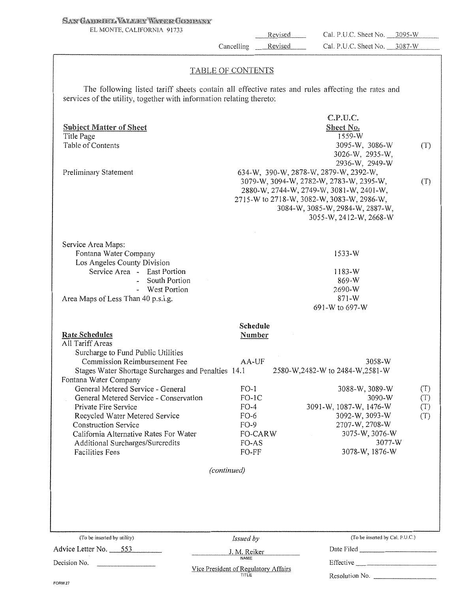### **SAN GABRIEL VALLEY WATER GOMPANY**

EL MONTE, CALIFORNIA 91733

Revised Cancelling \_ Revised

Cal. P.U.C. Sheet No. \_\_ 3095-W Cal. P.U.C. Sheet No. 3087-W

### TABLE OF CONTENTS

The following listed tariff sheets contain all effective rates and rules affecting the rates and services of the utility, together with information relating thereto:

| <b>Subject Matter of Sheet</b><br>Title Page<br>Table of Contents<br>Preliminary Statement                                                                                                                                                                                                                                                                                                                                                                                      |                                                                                                                    | C.P.U.C.<br>Sheet No.<br>1559-W<br>3095-W, 3086-W<br>3026-W, 2935-W,<br>2936-W, 2949-W<br>634-W, 390-W, 2878-W, 2879-W, 2392-W,<br>3079-W, 3094-W, 2782-W, 2783-W, 2395-W,<br>2880-W, 2744-W, 2749-W, 3081-W, 2401-W,<br>2715-W to 2718-W, 3082-W, 3083-W, 2986-W,<br>3084-W, 3085-W, 2984-W, 2887-W,<br>3055-W, 2412-W, 2668-W | (T)<br>(T)               |
|---------------------------------------------------------------------------------------------------------------------------------------------------------------------------------------------------------------------------------------------------------------------------------------------------------------------------------------------------------------------------------------------------------------------------------------------------------------------------------|--------------------------------------------------------------------------------------------------------------------|---------------------------------------------------------------------------------------------------------------------------------------------------------------------------------------------------------------------------------------------------------------------------------------------------------------------------------|--------------------------|
| Service Area Maps:<br>Fontana Water Company<br>Los Angeles County Division<br>Service Area - East Portion<br>- South Portion<br>- West Portion<br>Area Maps of Less Than 40 p.s.i.g.                                                                                                                                                                                                                                                                                            |                                                                                                                    | $1533-W$<br>$1183-W$<br>869-W<br>2690-W<br>$871 - W$<br>691-W to 697-W                                                                                                                                                                                                                                                          |                          |
| <b>Rate Schedules</b><br>All Tariff Areas<br>Surcharge to Fund Public Utilities<br>Commission Reimbursement Fee<br>Stages Water Shortage Surcharges and Penalties 14.1<br>Fontana Water Company<br>General Metered Service - General<br>General Metered Service - Conservation<br>Private Fire Service<br>Recycled Water Metered Service<br><b>Construction Service</b><br>California Alternative Rates For Water<br>Additional Surcharges/Surcredits<br><b>Facilities Fees</b> | Schedule<br>Number<br>AA-UF<br>$FO-1$<br>$FO-IC$<br>$FO-4$<br>$FO-6$<br>$FO-9$<br><b>FO-CARW</b><br>FO-AS<br>FO-FF | 3058-W<br>2580-W, 2482-W to 2484-W, 2581-W<br>3088-W, 3089-W<br>$3090-W$<br>3091-W, 1087-W, 1476-W<br>3092-W, 3093-W<br>2707-W, 2708-W<br>3075-W, 3076-W<br>3077-W<br>3078-W, 1876-W                                                                                                                                            | (T)<br>(T)<br>(T)<br>(T) |
|                                                                                                                                                                                                                                                                                                                                                                                                                                                                                 | (continued)                                                                                                        |                                                                                                                                                                                                                                                                                                                                 |                          |
| (To be inserted by utility)<br>Advice Letter No. 553<br>Decision No.                                                                                                                                                                                                                                                                                                                                                                                                            | Issued by<br>J. M. Reiker<br><b>NAME</b><br>Vice President of Regulatory Affairs                                   | (To be inserted by Cal, P.U.C.)<br>Date Filed<br>Resolution No. ________                                                                                                                                                                                                                                                        |                          |